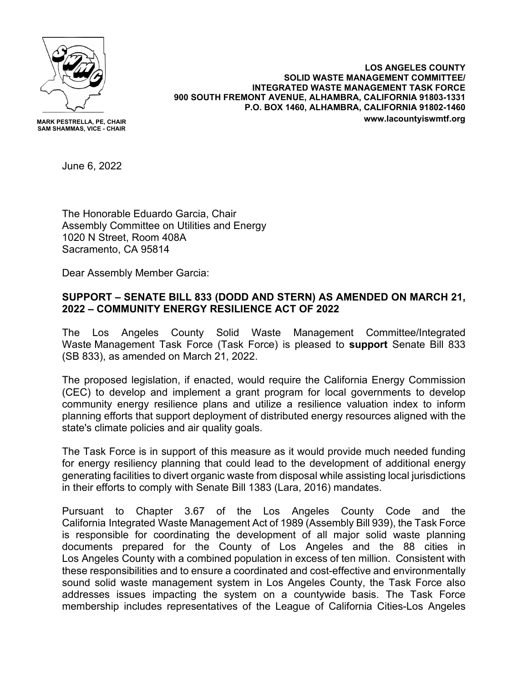

**MARK PESTRELLA, PE, CHAIR SAM SHAMMAS, VICE - CHAIR**

**LOS ANGELES COUNTY SOLID WASTE MANAGEMENT COMMITTEE/ INTEGRATED WASTE MANAGEMENT TASK FORCE 900 SOUTH FREMONT AVENUE, ALHAMBRA, CALIFORNIA 91803-1331 P.O. BOX 1460, ALHAMBRA, CALIFORNIA 91802-1460 www.lacountyiswmtf.org**

June 6, 2022

The Honorable Eduardo Garcia, Chair Assembly Committee on Utilities and Energy 1020 N Street, Room 408A Sacramento, CA 95814

Dear Assembly Member Garcia:

## **SUPPORT – SENATE BILL 833 (DODD AND STERN) AS AMENDED ON MARCH 21, 2022 – COMMUNITY ENERGY RESILIENCE ACT OF 2022**

The Los Angeles County Solid Waste Management Committee/Integrated Waste Management Task Force (Task Force) is pleased to **support** Senate Bill 833 (SB 833), as amended on March 21, 2022.

The proposed legislation, if enacted, would require the California Energy Commission (CEC) to develop and implement a grant program for local governments to develop community energy resilience plans and utilize a resilience valuation index to inform planning efforts that support deployment of distributed energy resources aligned with the state's climate policies and air quality goals.

The Task Force is in support of this measure as it would provide much needed funding for energy resiliency planning that could lead to the development of additional energy generating facilities to divert organic waste from disposal while assisting local jurisdictions in their efforts to comply with Senate Bill 1383 (Lara, 2016) mandates.

Pursuant to Chapter 3.67 of the Los Angeles County Code and the California Integrated Waste Management Act of 1989 (Assembly Bill 939), the Task Force is responsible for coordinating the development of all major solid waste planning documents prepared for the County of Los Angeles and the 88 cities in Los Angeles County with a combined population in excess of ten million. Consistent with these responsibilities and to ensure a coordinated and cost-effective and environmentally sound solid waste management system in Los Angeles County, the Task Force also addresses issues impacting the system on a countywide basis. The Task Force membership includes representatives of the League of California Cities-Los Angeles